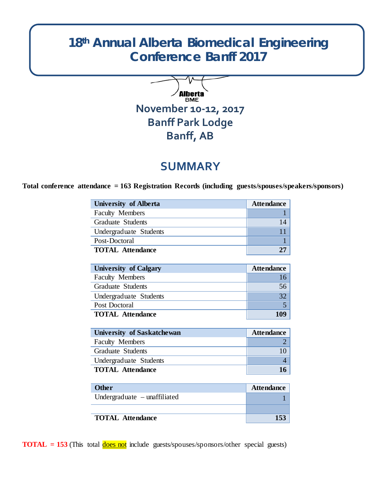# **18th Annual Alberta Biomedical Engineering Conference Banff 2017**



# **SUMMARY**

**Total conference attendance = 163 Registration Records (including guests/spouses/speakers/sponsors)**

| <b>University of Alberta</b> | <b>Attendance</b> |
|------------------------------|-------------------|
| <b>Faculty Members</b>       |                   |
| Graduate Students            | 14                |
| Undergraduate Students       |                   |
| Post-Doctoral                |                   |
| <b>TOTAL Attendance</b>      |                   |
|                              |                   |

| <b>University of Calgary</b> | <b>Attendance</b> |
|------------------------------|-------------------|
| <b>Faculty Members</b>       | 16                |
| Graduate Students            | 56                |
| Undergraduate Students       | 32                |
| Post Doctoral                |                   |
| <b>TOTAL Attendance</b>      | 109               |

| University of Saskatchewan | <b>Attendance</b> |
|----------------------------|-------------------|
| <b>Faculty Members</b>     |                   |
| Graduate Students          |                   |
| Undergraduate Students     |                   |
| <b>TOTAL Attendance</b>    |                   |

| <b>Other</b>                   | <b>Attendance</b> |
|--------------------------------|-------------------|
| Undergraduate $-$ unaffiliated |                   |
|                                |                   |
| <b>TOTAL Attendance</b>        | 153               |

**TOTAL** = 153 (This total does not include guests/spouses/sponsors/other special guests)